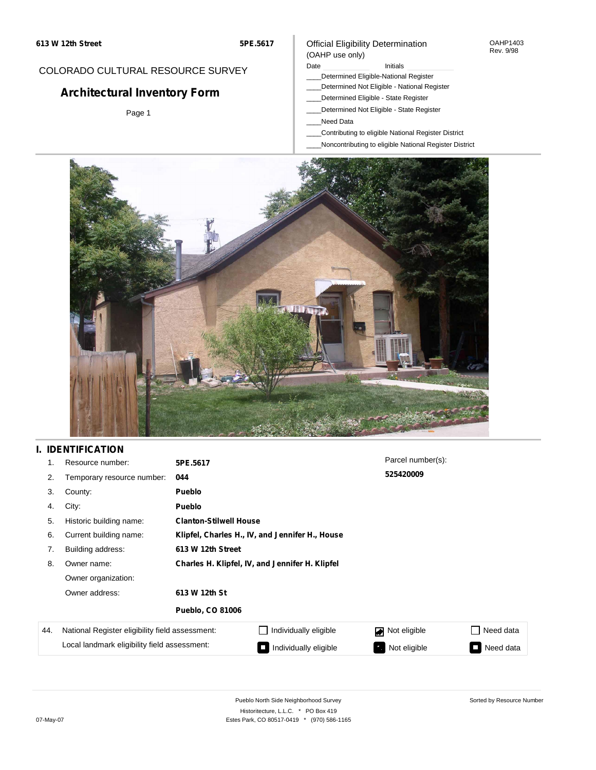#### OAHP1403 Rev. 9/98

### COLORADO CULTURAL RESOURCE SURVEY

# **Architectural Inventory Form**

Page 1

### Official Eligibility Determination (OAHP use only)

Date **Initials** Initials

- \_\_\_\_Determined Eligible-National Register
- \_\_\_\_Determined Not Eligible National Register
- \_\_\_\_Determined Eligible State Register \_\_\_\_Determined Not Eligible - State Register
- 
- \_\_\_\_Need Data
- \_\_\_\_Contributing to eligible National Register District
- \_\_\_\_Noncontributing to eligible National Register District



### **I. IDENTIFICATION**

|     | Resource number:                                | 5PE.5617                                        |                                                 | Parcel number(s): |                                       |  |  |  |
|-----|-------------------------------------------------|-------------------------------------------------|-------------------------------------------------|-------------------|---------------------------------------|--|--|--|
| 2.  | Temporary resource number:                      | 044                                             |                                                 | 525420009         |                                       |  |  |  |
| 3.  | County:                                         | Pueblo                                          |                                                 |                   |                                       |  |  |  |
| 4.  | City:                                           | <b>Pueblo</b>                                   |                                                 |                   |                                       |  |  |  |
| 5.  | Historic building name:                         |                                                 | <b>Clanton-Stilwell House</b>                   |                   |                                       |  |  |  |
| 6.  | Current building name:                          | Klipfel, Charles H., IV, and Jennifer H., House |                                                 |                   |                                       |  |  |  |
| 7.  | Building address:                               | 613 W 12th Street                               |                                                 |                   |                                       |  |  |  |
| 8.  | Owner name:                                     |                                                 | Charles H. Klipfel, IV, and Jennifer H. Klipfel |                   |                                       |  |  |  |
|     | Owner organization:                             |                                                 |                                                 |                   |                                       |  |  |  |
|     | Owner address:                                  | 613 W 12th St                                   |                                                 |                   |                                       |  |  |  |
|     |                                                 | <b>Pueblo, CO 81006</b>                         |                                                 |                   |                                       |  |  |  |
| 44. | National Register eligibility field assessment: |                                                 | Individually eligible                           | Not eligible      | Need data                             |  |  |  |
|     | Local landmark eligibility field assessment:    |                                                 | Individually eligible                           | Not eligible      | Need data<br>$\overline{\phantom{0}}$ |  |  |  |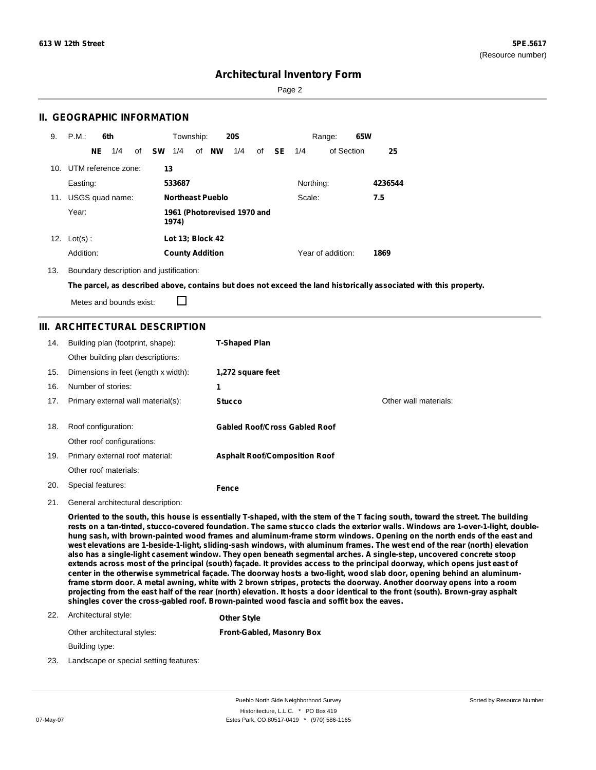Sorted by Resource Number

### **Architectural Inventory Form**

Page 2

### **II. GEOGRAPHIC INFORMATION**

| 9.  | P.M.                | 6th |                 |    |           | Township:               |    |           | <b>20S</b>                  |    |           |           | Range:            | 65W |         |
|-----|---------------------|-----|-----------------|----|-----------|-------------------------|----|-----------|-----------------------------|----|-----------|-----------|-------------------|-----|---------|
|     |                     | NE  | 1/4             | of | <b>SW</b> | 1/4                     | of | <b>NW</b> | 1/4                         | of | <b>SE</b> | 1/4       | of Section        |     | 25      |
| 10. | UTM reference zone: |     |                 |    | 13        |                         |    |           |                             |    |           |           |                   |     |         |
|     | Easting:            |     |                 |    |           | 533687                  |    |           |                             |    |           | Northing: |                   |     | 4236544 |
| 11. |                     |     | USGS quad name: |    |           | <b>Northeast Pueblo</b> |    |           |                             |    |           | Scale:    |                   |     | 7.5     |
|     | Year:               |     |                 |    |           | 1974)                   |    |           | 1961 (Photorevised 1970 and |    |           |           |                   |     |         |
| 12. | $Lot(s)$ :          |     |                 |    |           | Lot 13; Block 42        |    |           |                             |    |           |           |                   |     |         |
|     | Addition:           |     |                 |    |           | <b>County Addition</b>  |    |           |                             |    |           |           | Year of addition: |     | 1869    |

13. Boundary description and justification:

The parcel, as described above, contains but does not exceed the land historically associated with this property.

Metes and bounds exist:

П

### **III. ARCHITECTURAL DESCRIPTION**

| 14. | Building plan (footprint, shape):<br>Other building plan descriptions: | <b>T-Shaped Plan</b>                 |                       |
|-----|------------------------------------------------------------------------|--------------------------------------|-----------------------|
| 15. | Dimensions in feet (length x width):                                   | 1,272 square feet                    |                       |
| 16. | Number of stories:                                                     | 1                                    |                       |
| 17. | Primary external wall material(s):                                     | <b>Stucco</b>                        | Other wall materials: |
|     |                                                                        |                                      |                       |
| 18. | Roof configuration:                                                    | <b>Gabled Roof/Cross Gabled Roof</b> |                       |
|     | Other roof configurations:                                             |                                      |                       |
| 19. | Primary external roof material:                                        | <b>Asphalt Roof/Composition Roof</b> |                       |
|     | Other roof materials:                                                  |                                      |                       |
| 20. | Special features:                                                      | Fence                                |                       |

21. General architectural description:

Oriented to the south, this house is essentially T-shaped, with the stem of the T facing south, toward the street. The building rests on a tan-tinted, stucco-covered foundation. The same stucco clads the exterior walls. Windows are 1-over-1-light, doublehung sash, with brown-painted wood frames and aluminum-frame storm windows. Opening on the north ends of the east and west elevations are 1-beside-1-light, sliding-sash windows, with aluminum frames. The west end of the rear (north) elevation also has a single-light casement window. They open beneath segmental arches. A single-step, uncovered concrete stoop extends across most of the principal (south) façade. It provides access to the principal doorway, which opens just east of center in the otherwise symmetrical façade. The doorway hosts a two-light, wood slab door, opening behind an aluminumframe storm door. A metal awning, white with 2 brown stripes, protects the doorway. Another doorway opens into a room projecting from the east half of the rear (north) elevation. It hosts a door identical to the front (south). Brown-gray asphalt **shingles cover the cross-gabled roof. Brown-painted wood fascia and soffit box the eaves.**

#### 22. Architectural style: **Other Style**

Other architectural styles: **Front-Gabled, Masonry Box**

Building type:

23. Landscape or special setting features: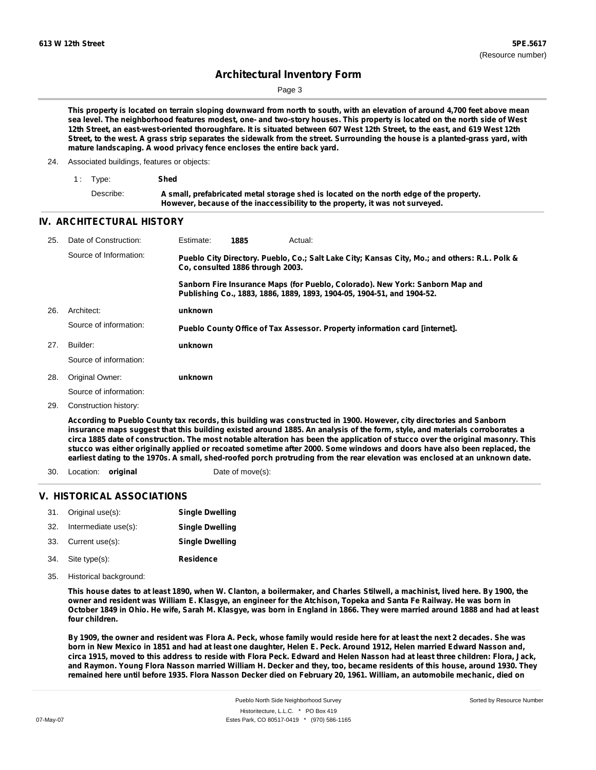Page 3

This property is located on terrain sloping downward from north to south, with an elevation of around 4,700 feet above mean sea level. The neighborhood features modest, one- and two-story houses. This property is located on the north side of West 12th Street, an east-west-oriented thoroughfare. It is situated between 607 West 12th Street, to the east, and 619 West 12th Street, to the west. A grass strip separates the sidewalk from the street. Surrounding the house is a planted-grass yard, with **mature landscaping. A wood privacy fence encloses the entire back yard.**

24. Associated buildings, features or objects:

| 1: Type:  | Shed                                                                                                                                                                     |
|-----------|--------------------------------------------------------------------------------------------------------------------------------------------------------------------------|
| Describe: | A small, prefabricated metal storage shed is located on the north edge of the property.<br>However, because of the inaccessibility to the property, it was not surveyed. |

#### **IV. ARCHITECTURAL HISTORY**

| 25. | Date of Construction:  | Estimate: | 1885                             | Actual:                                                                                                                                                 |
|-----|------------------------|-----------|----------------------------------|---------------------------------------------------------------------------------------------------------------------------------------------------------|
|     | Source of Information: |           | Co. consulted 1886 through 2003. | Pueblo City Directory. Pueblo, Co.; Salt Lake City; Kansas City, Mo.; and others: R.L. Polk &                                                           |
|     |                        |           |                                  | Sanborn Fire Insurance Maps (for Pueblo, Colorado). New York: Sanborn Map and<br>Publishing Co., 1883, 1886, 1889, 1893, 1904-05, 1904-51, and 1904-52. |
| 26. | Architect:             | unknown   |                                  |                                                                                                                                                         |
|     | Source of information: |           |                                  | Pueblo County Office of Tax Assessor. Property information card [internet].                                                                             |
| 27. | Builder:               | unknown   |                                  |                                                                                                                                                         |
|     | Source of information: |           |                                  |                                                                                                                                                         |
| 28. | Original Owner:        | unknown   |                                  |                                                                                                                                                         |
|     | Source of information: |           |                                  |                                                                                                                                                         |
| 29. | Construction history:  |           |                                  |                                                                                                                                                         |
|     |                        |           |                                  |                                                                                                                                                         |

According to Pueblo County tax records, this building was constructed in 1900. However, city directories and Sanborn insurance maps suggest that this building existed around 1885. An analysis of the form, style, and materials corroborates a circa 1885 date of construction. The most notable alteration has been the application of stucco over the original masonry. This stucco was either originally applied or recoated sometime after 2000. Some windows and doors have also been replaced, the earliest dating to the 1970s. A small, shed-roofed porch protruding from the rear elevation was enclosed at an unknown date.

30. Location: **original** Date of move(s):

#### **V. HISTORICAL ASSOCIATIONS**

| 31. Original use(s):     | <b>Single Dwelling</b> |
|--------------------------|------------------------|
| 32. Intermediate use(s): | <b>Single Dwelling</b> |
| 33. Current use(s):      | <b>Single Dwelling</b> |
| 34. Site type(s):        | <b>Residence</b>       |

35. Historical background:

This house dates to at least 1890, when W. Clanton, a boilermaker, and Charles Stilwell, a machinist, lived here. By 1900, the owner and resident was William E. Klasgye, an engineer for the Atchison, Topeka and Santa Fe Railway. He was born in October 1849 in Ohio. He wife, Sarah M. Klasgye, was born in England in 1866. They were married around 1888 and had at least **four children.**

By 1909, the owner and resident was Flora A. Peck, whose family would reside here for at least the next 2 decades. She was born in New Mexico in 1851 and had at least one daughter, Helen E. Peck. Around 1912, Helen married Edward Nasson and, circa 1915, moved to this address to reside with Flora Peck. Edward and Helen Nasson had at least three children: Flora, Jack, and Raymon. Young Flora Nasson married William H. Decker and they, too, became residents of this house, around 1930. They remained here until before 1935. Flora Nasson Decker died on February 20, 1961. William, an automobile mechanic, died on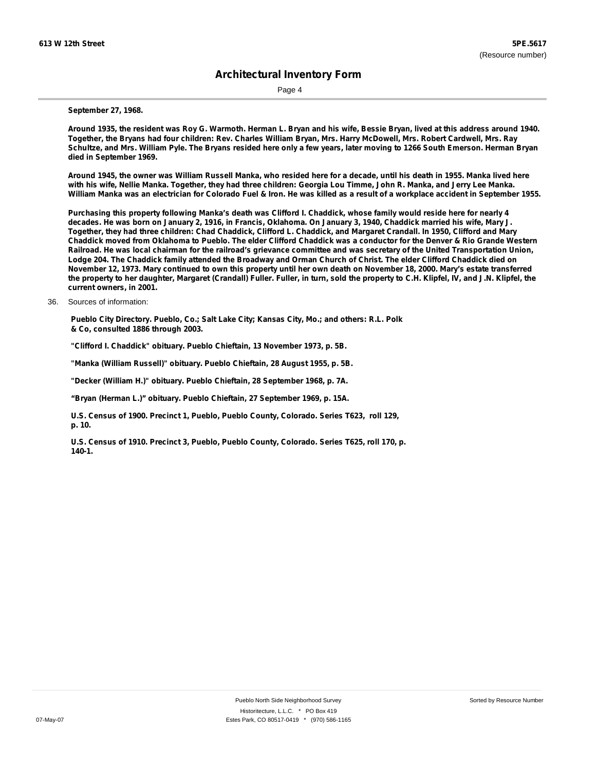Page 4

#### **September 27, 1968.**

Around 1935, the resident was Roy G. Warmoth. Herman L. Bryan and his wife, Bessie Bryan, lived at this address around 1940. Together, the Bryans had four children: Rev. Charles William Bryan, Mrs. Harry McDowell, Mrs. Robert Cardwell, Mrs. Ray Schultze, and Mrs. William Pyle. The Bryans resided here only a few years, later moving to 1266 South Emerson. Herman Bryan **died in September 1969.**

Around 1945, the owner was William Russell Manka, who resided here for a decade, until his death in 1955. Manka lived here with his wife, Nellie Manka. Together, they had three children: Georgia Lou Timme, John R. Manka, and Jerry Lee Manka. William Manka was an electrician for Colorado Fuel & Iron. He was killed as a result of a workplace accident in September 1955.

Purchasing this property following Manka's death was Clifford I. Chaddick, whose family would reside here for nearly 4 decades. He was born on January 2, 1916, in Francis, Oklahoma. On January 3, 1940, Chaddick married his wife, Mary J. Together, they had three children: Chad Chaddick, Clifford L. Chaddick, and Margaret Crandall. In 1950, Clifford and Mary Chaddick moved from Oklahoma to Pueblo. The elder Clifford Chaddick was a conductor for the Denver & Rio Grande Western Railroad. He was local chairman for the railroad's grievance committee and was secretary of the United Transportation Union, Lodge 204. The Chaddick family attended the Broadway and Orman Church of Christ. The elder Clifford Chaddick died on November 12, 1973. Mary continued to own this property until her own death on November 18, 2000. Mary's estate transferred the property to her daughter, Margaret (Crandall) Fuller. Fuller, in turn, sold the property to C.H. Klipfel, IV, and J.N. Klipfel, the **current owners, in 2001.**

36. Sources of information:

**Pueblo City Directory. Pueblo, Co.; Salt Lake City; Kansas City, Mo.; and others: R.L. Polk & Co, consulted 1886 through 2003.**

**"Clifford I. Chaddick" obituary. Pueblo Chieftain, 13 November 1973, p. 5B.**

**"Manka (William Russell)" obituary. Pueblo Chieftain, 28 August 1955, p. 5B.**

**"Decker (William H.)" obituary. Pueblo Chieftain, 28 September 1968, p. 7A.**

**"Bryan (Herman L.)" obituary. Pueblo Chieftain, 27 September 1969, p. 15A.**

**U.S. Census of 1900. Precinct 1, Pueblo, Pueblo County, Colorado. Series T623, roll 129, p. 10.**

**U.S. Census of 1910. Precinct 3, Pueblo, Pueblo County, Colorado. Series T625, roll 170, p. 140-1.**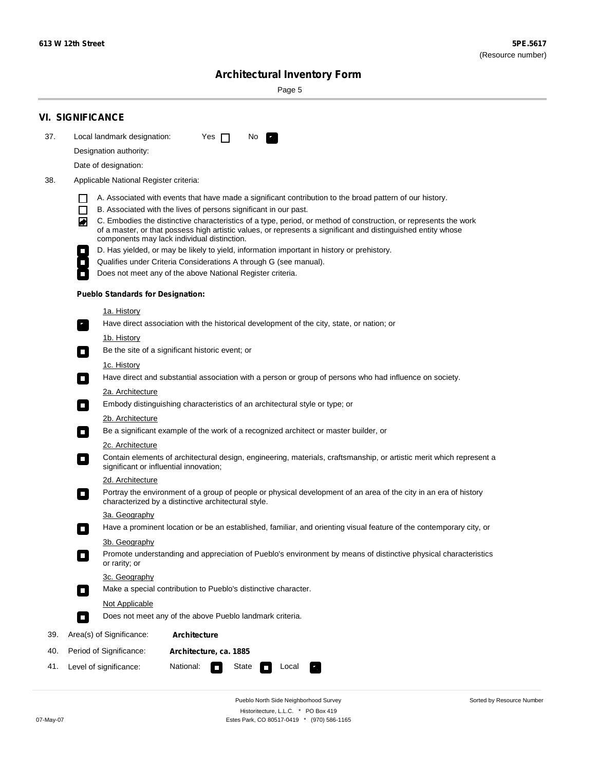÷

Sorted by Resource Number

# **Architectural Inventory Form**

Page 5

|     | <b>VI. SIGNIFICANCE</b>                                                                                                                                                                                                                                                                                                                                                                                                                                                                                                                                                                                                                                                                                                                                                                                                                                                                                                                                                                                                                                                                                                                                                                                                                                                                                                                                                                                                                                                                                                                                                                                                                                                                                                                                                                                                                                                                                                                                                                                                                                                                                                                                                                                                                                                        |
|-----|--------------------------------------------------------------------------------------------------------------------------------------------------------------------------------------------------------------------------------------------------------------------------------------------------------------------------------------------------------------------------------------------------------------------------------------------------------------------------------------------------------------------------------------------------------------------------------------------------------------------------------------------------------------------------------------------------------------------------------------------------------------------------------------------------------------------------------------------------------------------------------------------------------------------------------------------------------------------------------------------------------------------------------------------------------------------------------------------------------------------------------------------------------------------------------------------------------------------------------------------------------------------------------------------------------------------------------------------------------------------------------------------------------------------------------------------------------------------------------------------------------------------------------------------------------------------------------------------------------------------------------------------------------------------------------------------------------------------------------------------------------------------------------------------------------------------------------------------------------------------------------------------------------------------------------------------------------------------------------------------------------------------------------------------------------------------------------------------------------------------------------------------------------------------------------------------------------------------------------------------------------------------------------|
| 37. | Local landmark designation:<br>Yes $\Box$<br>No.<br>$\mathbf{r}_\perp$                                                                                                                                                                                                                                                                                                                                                                                                                                                                                                                                                                                                                                                                                                                                                                                                                                                                                                                                                                                                                                                                                                                                                                                                                                                                                                                                                                                                                                                                                                                                                                                                                                                                                                                                                                                                                                                                                                                                                                                                                                                                                                                                                                                                         |
|     | Designation authority:                                                                                                                                                                                                                                                                                                                                                                                                                                                                                                                                                                                                                                                                                                                                                                                                                                                                                                                                                                                                                                                                                                                                                                                                                                                                                                                                                                                                                                                                                                                                                                                                                                                                                                                                                                                                                                                                                                                                                                                                                                                                                                                                                                                                                                                         |
|     | Date of designation:                                                                                                                                                                                                                                                                                                                                                                                                                                                                                                                                                                                                                                                                                                                                                                                                                                                                                                                                                                                                                                                                                                                                                                                                                                                                                                                                                                                                                                                                                                                                                                                                                                                                                                                                                                                                                                                                                                                                                                                                                                                                                                                                                                                                                                                           |
| 38. | Applicable National Register criteria:                                                                                                                                                                                                                                                                                                                                                                                                                                                                                                                                                                                                                                                                                                                                                                                                                                                                                                                                                                                                                                                                                                                                                                                                                                                                                                                                                                                                                                                                                                                                                                                                                                                                                                                                                                                                                                                                                                                                                                                                                                                                                                                                                                                                                                         |
|     | A. Associated with events that have made a significant contribution to the broad pattern of our history.<br>B. Associated with the lives of persons significant in our past.<br>$\mathsf{L}$<br>C. Embodies the distinctive characteristics of a type, period, or method of construction, or represents the work<br>◚<br>of a master, or that possess high artistic values, or represents a significant and distinguished entity whose<br>components may lack individual distinction.<br>D. Has yielded, or may be likely to yield, information important in history or prehistory.<br>Qualifies under Criteria Considerations A through G (see manual).<br>Does not meet any of the above National Register criteria.<br><b>Pueblo Standards for Designation:</b><br><u>1a. History</u><br>Have direct association with the historical development of the city, state, or nation; or<br>$\mathbf{r}_\perp$<br><u>1b. History</u><br>Be the site of a significant historic event; or<br>$\blacksquare$<br>1c. History<br>Have direct and substantial association with a person or group of persons who had influence on society.<br>$\blacksquare$<br>2a. Architecture<br>Embody distinguishing characteristics of an architectural style or type; or<br>$\Box$<br>2b. Architecture<br>Be a significant example of the work of a recognized architect or master builder, or<br>$\mathcal{L}_{\mathcal{A}}$<br>2c. Architecture<br>Contain elements of architectural design, engineering, materials, craftsmanship, or artistic merit which represent a<br>$\mathcal{L}_{\mathcal{A}}$<br>significant or influential innovation;<br>2d. Architecture<br>Portray the environment of a group of people or physical development of an area of the city in an era of history<br>$\mathcal{L}_{\mathcal{A}}$<br>characterized by a distinctive architectural style.<br>3a. Geography<br>Have a prominent location or be an established, familiar, and orienting visual feature of the contemporary city, or<br>П<br>3b. Geography<br>Promote understanding and appreciation of Pueblo's environment by means of distinctive physical characteristics<br>or rarity; or<br>3c. Geography<br>Make a special contribution to Pueblo's distinctive character.<br>$\overline{\phantom{a}}$ |
|     | <b>Not Applicable</b>                                                                                                                                                                                                                                                                                                                                                                                                                                                                                                                                                                                                                                                                                                                                                                                                                                                                                                                                                                                                                                                                                                                                                                                                                                                                                                                                                                                                                                                                                                                                                                                                                                                                                                                                                                                                                                                                                                                                                                                                                                                                                                                                                                                                                                                          |
|     | Does not meet any of the above Pueblo landmark criteria.<br>$\overline{\phantom{a}}$                                                                                                                                                                                                                                                                                                                                                                                                                                                                                                                                                                                                                                                                                                                                                                                                                                                                                                                                                                                                                                                                                                                                                                                                                                                                                                                                                                                                                                                                                                                                                                                                                                                                                                                                                                                                                                                                                                                                                                                                                                                                                                                                                                                           |
| 39. | Area(s) of Significance:<br>Architecture                                                                                                                                                                                                                                                                                                                                                                                                                                                                                                                                                                                                                                                                                                                                                                                                                                                                                                                                                                                                                                                                                                                                                                                                                                                                                                                                                                                                                                                                                                                                                                                                                                                                                                                                                                                                                                                                                                                                                                                                                                                                                                                                                                                                                                       |
| 40. | Period of Significance:<br>Architecture, ca. 1885                                                                                                                                                                                                                                                                                                                                                                                                                                                                                                                                                                                                                                                                                                                                                                                                                                                                                                                                                                                                                                                                                                                                                                                                                                                                                                                                                                                                                                                                                                                                                                                                                                                                                                                                                                                                                                                                                                                                                                                                                                                                                                                                                                                                                              |
| 41. | National:<br>State<br>Level of significance:<br>Local<br>Π<br>У.,                                                                                                                                                                                                                                                                                                                                                                                                                                                                                                                                                                                                                                                                                                                                                                                                                                                                                                                                                                                                                                                                                                                                                                                                                                                                                                                                                                                                                                                                                                                                                                                                                                                                                                                                                                                                                                                                                                                                                                                                                                                                                                                                                                                                              |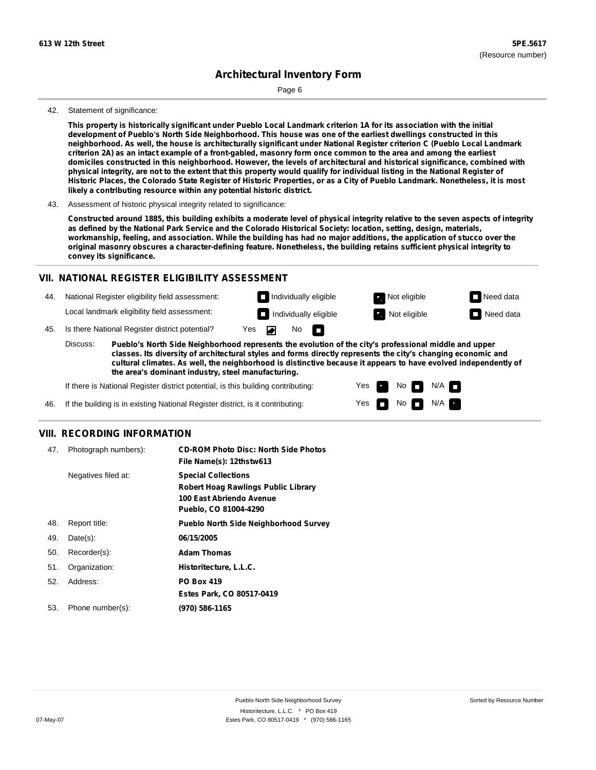Page 6

#### 42. Statement of significance:

This property is historically significant under Pueblo Local Landmark criterion 1A for its association with the initial development of Pueblo's North Side Neighborhood. This house was one of the earliest dwellings constructed in this neighborhood. As well, the house is architecturally significant under National Register criterion C (Pueblo Local Landmark criterion 2A) as an intact example of a front-gabled, masonry form once common to the area and among the earliest domiciles constructed in this neighborhood. However, the levels of architectural and historical significance, combined with physical integrity, are not to the extent that this property would qualify for individual listing in the National Register of Historic Places, the Colorado State Register of Historic Properties, or as a City of Pueblo Landmark. Nonetheless, it is most **likely a contributing resource within any potential historic district.**

Constructed around 1885, this building exhibits a moderate level of physical integrity relative to the seven aspects of integrity as defined by the National Park Service and the Colorado Historical Society: location, setting, design, materials, workmanship, feeling, and association. While the building has had no major additions, the application of stucco over the **original masonry obscures a character-defining feature. Nonetheless, the building retains sufficient physical integrity to convey its significance.**

#### **VII. NATIONAL REGISTER ELIGIBILITY ASSESSMENT**

44. National Register eligibility field assessment: Local landmark eligibility field assessment:

**Individually eligible Not eligible** Not eligible **Need data** No m



45. Is there National Register district potential? Yes

**Pueblo's North Side Neighborhood represents the evolution of the city's professional middle and upper classes. Its diversity of architectural styles and forms directly represents the city's changing economic and cultural climates. As well, the neighborhood is distinctive because it appears to have evolved independently of the area's dominant industry, steel manufacturing.** Discuss:

> Yes Yes

No

No **N/A** 

 $N/A$ 

If there is National Register district potential, is this building contributing:

If the building is in existing National Register district, is it contributing: 46.

### **VIII. RECORDING INFORMATION**

| 47. | Photograph numbers): | <b>CD-ROM Photo Disc: North Side Photos</b><br>File Name(s): 12thstw613                                                       |
|-----|----------------------|-------------------------------------------------------------------------------------------------------------------------------|
|     | Negatives filed at:  | <b>Special Collections</b><br><b>Robert Hoag Rawlings Public Library</b><br>100 East Abriendo Avenue<br>Pueblo, CO 81004-4290 |
| 48. | Report title:        | <b>Pueblo North Side Neighborhood Survey</b>                                                                                  |
| 49. | $Date(s)$ :          | 06/15/2005                                                                                                                    |
| 50. | Recorder(s):         | <b>Adam Thomas</b>                                                                                                            |
| 51. | Organization:        | Historitecture, L.L.C.                                                                                                        |
| 52. | Address:             | <b>PO Box 419</b>                                                                                                             |
|     |                      | Estes Park, CO 80517-0419                                                                                                     |
| 53. | Phone number(s):     | (970) 586-1165                                                                                                                |

<sup>43.</sup> Assessment of historic physical integrity related to significance: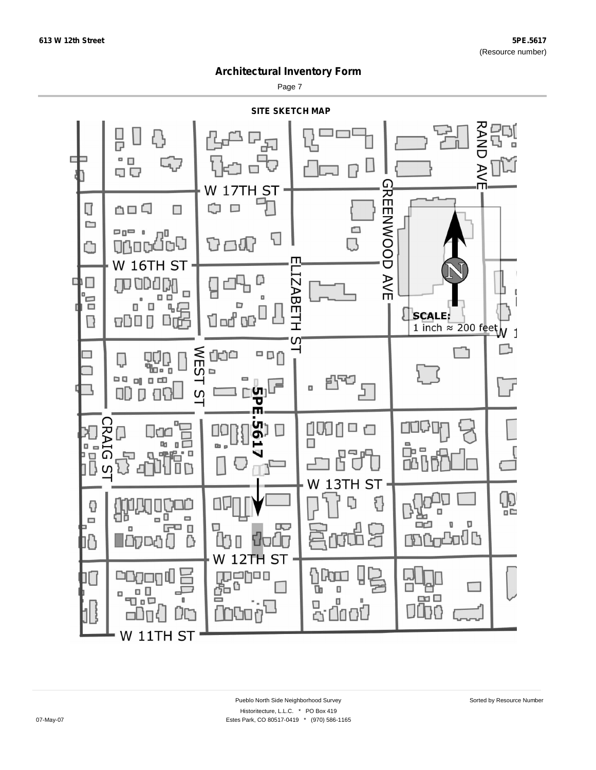Page 7